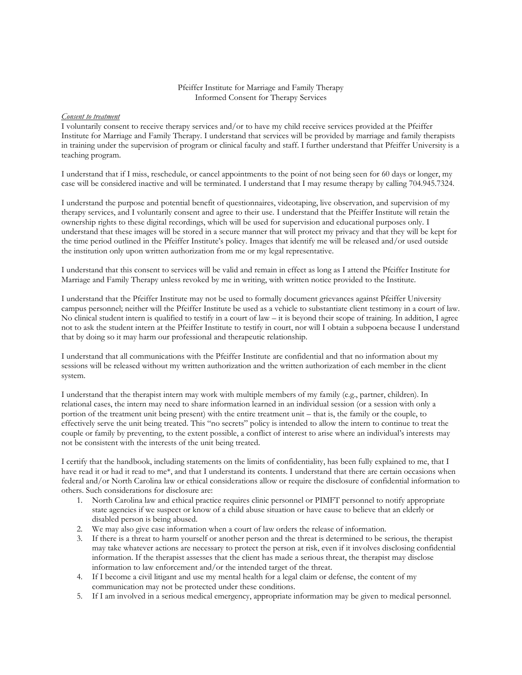## Pfeiffer Institute for Marriage and Family Therapy Informed Consent for Therapy Services

## *Consent to treatment*

I voluntarily consent to receive therapy services and/or to have my child receive services provided at the Pfeiffer Institute for Marriage and Family Therapy. I understand that services will be provided by marriage and family therapists in training under the supervision of program or clinical faculty and staff. I further understand that Pfeiffer University is a teaching program.

I understand that if I miss, reschedule, or cancel appointments to the point of not being seen for 60 days or longer, my case will be considered inactive and will be terminated. I understand that I may resume therapy by calling 704.945.7324.

I understand the purpose and potential benefit of questionnaires, videotaping, live observation, and supervision of my therapy services, and I voluntarily consent and agree to their use. I understand that the Pfeiffer Institute will retain the ownership rights to these digital recordings, which will be used for supervision and educational purposes only. I understand that these images will be stored in a secure manner that will protect my privacy and that they will be kept for the time period outlined in the Pfeiffer Institute's policy. Images that identify me will be released and/or used outside the institution only upon written authorization from me or my legal representative.

I understand that this consent to services will be valid and remain in effect as long as I attend the Pfeiffer Institute for Marriage and Family Therapy unless revoked by me in writing, with written notice provided to the Institute.

I understand that the Pfeiffer Institute may not be used to formally document grievances against Pfeiffer University campus personnel; neither will the Pfeiffer Institute be used as a vehicle to substantiate client testimony in a court of law. No clinical student intern is qualified to testify in a court of law – it is beyond their scope of training. In addition, I agree not to ask the student intern at the Pfeiffer Institute to testify in court, nor will I obtain a subpoena because I understand that by doing so it may harm our professional and therapeutic relationship.

I understand that all communications with the Pfeiffer Institute are confidential and that no information about my sessions will be released without my written authorization and the written authorization of each member in the client system.

I understand that the therapist intern may work with multiple members of my family (e.g., partner, children). In relational cases, the intern may need to share information learned in an individual session (or a session with only a portion of the treatment unit being present) with the entire treatment unit – that is, the family or the couple, to effectively serve the unit being treated. This "no secrets" policy is intended to allow the intern to continue to treat the couple or family by preventing, to the extent possible, a conflict of interest to arise where an individual's interests may not be consistent with the interests of the unit being treated.

I certify that the handbook, including statements on the limits of confidentiality, has been fully explained to me, that I have read it or had it read to me\*, and that I understand its contents. I understand that there are certain occasions when federal and/or North Carolina law or ethical considerations allow or require the disclosure of confidential information to others. Such considerations for disclosure are:

- 1. North Carolina law and ethical practice requires clinic personnel or PIMFT personnel to notify appropriate state agencies if we suspect or know of a child abuse situation or have cause to believe that an elderly or disabled person is being abused.
- 2. We may also give case information when a court of law orders the release of information.
- 3. If there is a threat to harm yourself or another person and the threat is determined to be serious, the therapist may take whatever actions are necessary to protect the person at risk, even if it involves disclosing confidential information. If the therapist assesses that the client has made a serious threat, the therapist may disclose information to law enforcement and/or the intended target of the threat.
- 4. If I become a civil litigant and use my mental health for a legal claim or defense, the content of my communication may not be protected under these conditions.
- 5. If I am involved in a serious medical emergency, appropriate information may be given to medical personnel.